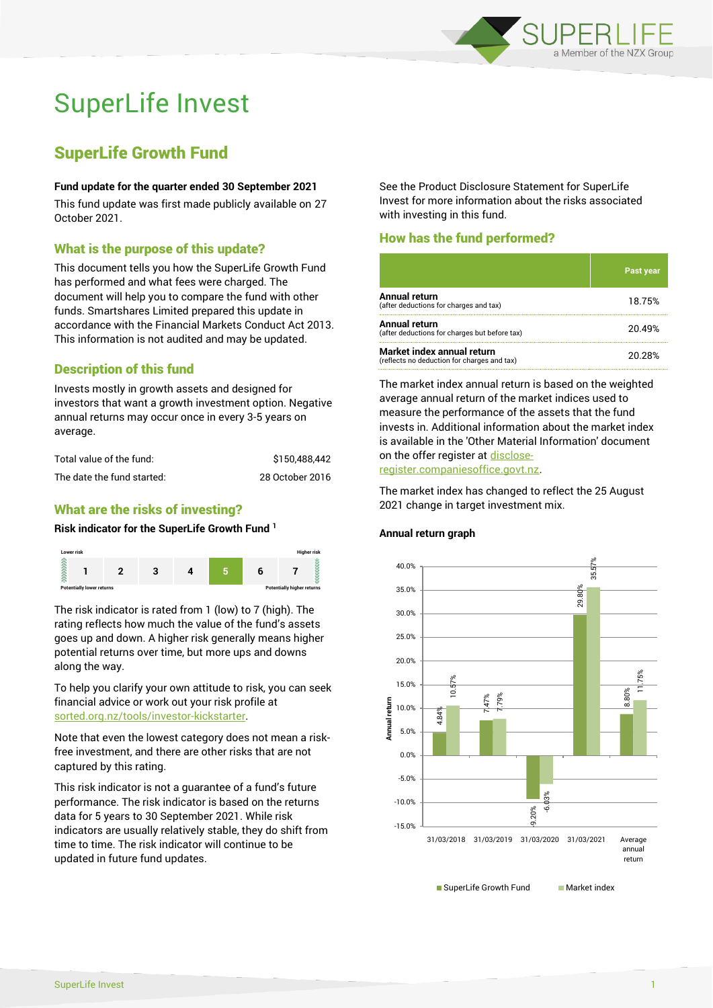

# SuperLife Invest

# SuperLife Growth Fund

#### **Fund update for the quarter ended 30 September 2021**

This fund update was first made publicly available on 27 October 2021.

# What is the purpose of this update?

This document tells you how the SuperLife Growth Fund has performed and what fees were charged. The document will help you to compare the fund with other funds. Smartshares Limited prepared this update in accordance with the Financial Markets Conduct Act 2013. This information is not audited and may be updated.

# Description of this fund

Invests mostly in growth assets and designed for investors that want a growth investment option. Negative annual returns may occur once in every 3-5 years on average.

| Total value of the fund:   | \$150.488.442   |
|----------------------------|-----------------|
| The date the fund started: | 28 October 2016 |

# What are the risks of investing?

#### **Risk indicator for the SuperLife Growth Fund <sup>1</sup>**



The risk indicator is rated from 1 (low) to 7 (high). The rating reflects how much the value of the fund's assets goes up and down. A higher risk generally means higher potential returns over time, but more ups and downs along the way.

To help you clarify your own attitude to risk, you can seek financial advice or work out your risk profile at [sorted.org.nz/tools/investor-kickstarter.](http://www.sorted.org.nz/tools/investor-kickstarter)

Note that even the lowest category does not mean a riskfree investment, and there are other risks that are not captured by this rating.

This risk indicator is not a guarantee of a fund's future performance. The risk indicator is based on the returns data for 5 years to 30 September 2021. While risk indicators are usually relatively stable, they do shift from time to time. The risk indicator will continue to be updated in future fund updates.

See the Product Disclosure Statement for SuperLife Invest for more information about the risks associated with investing in this fund.

# How has the fund performed?

|                                                                           | Past year |
|---------------------------------------------------------------------------|-----------|
| Annual return<br>(after deductions for charges and tax)                   | 18.75%    |
| Annual return<br>(after deductions for charges but before tax)            | 20.49%    |
| Market index annual return<br>(reflects no deduction for charges and tax) | 20.28%    |

The market index annual return is based on the weighted average annual return of the market indices used to measure the performance of the assets that the fund invests in. Additional information about the market index is available in the 'Other Material Information' document on the offer register a[t disclose](http://www.disclose-register.companiesoffice.govt.nz/)[register.companiesoffice.govt.nz.](http://www.disclose-register.companiesoffice.govt.nz/)

The market index has changed to reflect the 25 August 2021 change in target investment mix.

#### **Annual return graph**

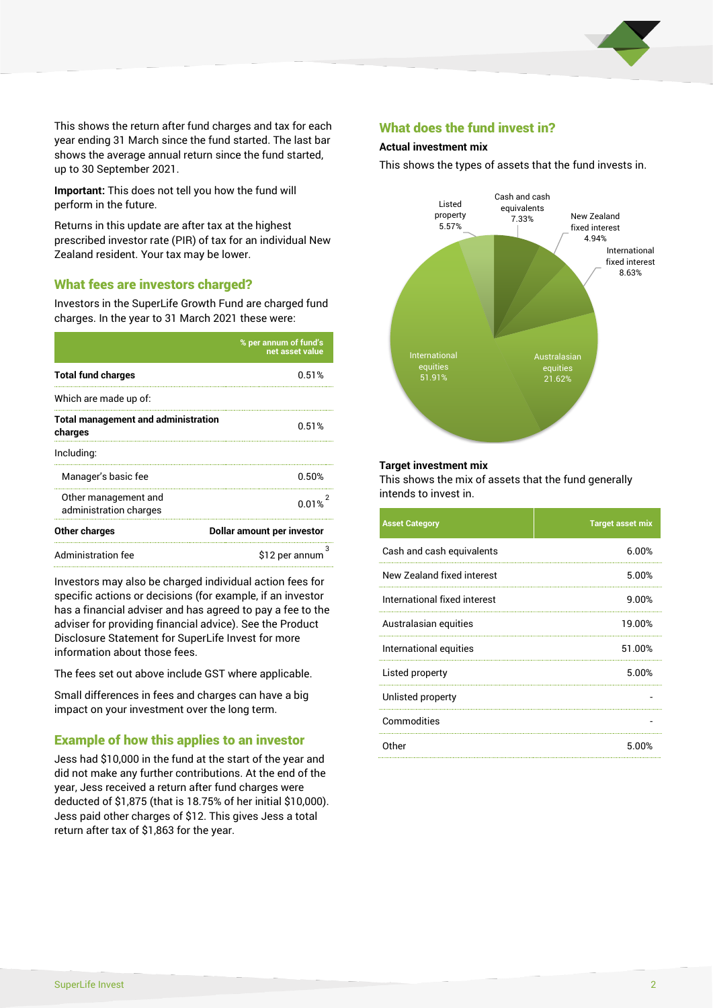

This shows the return after fund charges and tax for each year ending 31 March since the fund started. The last bar shows the average annual return since the fund started, up to 30 September 2021.

**Important:** This does not tell you how the fund will perform in the future.

Returns in this update are after tax at the highest prescribed investor rate (PIR) of tax for an individual New Zealand resident. Your tax may be lower.

# What fees are investors charged?

Investors in the SuperLife Growth Fund are charged fund charges. In the year to 31 March 2021 these were:

|                                                       | % per annum of fund's<br>net asset value |  |  |
|-------------------------------------------------------|------------------------------------------|--|--|
| <b>Total fund charges</b>                             | 0.51%                                    |  |  |
| Which are made up of:                                 |                                          |  |  |
| <b>Total management and administration</b><br>charges | 0.51%                                    |  |  |
| Including:                                            |                                          |  |  |
| Manager's basic fee                                   | 0.50%                                    |  |  |
| Other management and<br>administration charges        | 0.01%                                    |  |  |
| Other charges                                         | Dollar amount per investor               |  |  |
| Administration fee                                    | з<br>\$12 per annum                      |  |  |

Investors may also be charged individual action fees for specific actions or decisions (for example, if an investor has a financial adviser and has agreed to pay a fee to the adviser for providing financial advice). See the Product Disclosure Statement for SuperLife Invest for more information about those fees.

The fees set out above include GST where applicable.

Small differences in fees and charges can have a big impact on your investment over the long term.

# Example of how this applies to an investor

Jess had \$10,000 in the fund at the start of the year and did not make any further contributions. At the end of the year, Jess received a return after fund charges were deducted of \$1,875 (that is 18.75% of her initial \$10,000). Jess paid other charges of \$12. This gives Jess a total return after tax of \$1,863 for the year.

### What does the fund invest in?

#### **Actual investment mix**

This shows the types of assets that the fund invests in.



#### **Target investment mix**

This shows the mix of assets that the fund generally intends to invest in.

| <b>Asset Category</b>        | <b>Target asset mix</b> |
|------------------------------|-------------------------|
| Cash and cash equivalents    | 6.00%                   |
| New Zealand fixed interest   | 5.00%                   |
| International fixed interest | 9.00%                   |
| Australasian equities        | 19.00%                  |
| International equities       | 51.00%                  |
| Listed property              | 5.00%                   |
| Unlisted property            |                         |
| Commodities                  |                         |
| Other                        | 5.00%                   |